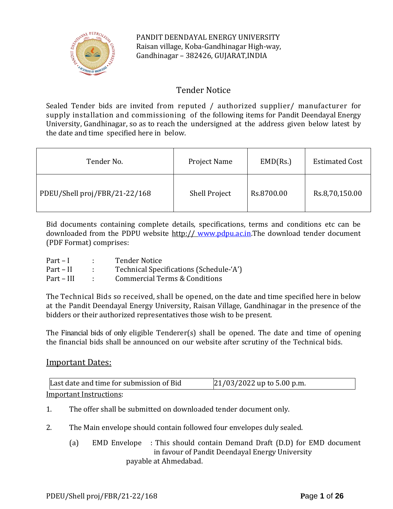

PANDIT DEENDAYAL ENERGY UNIVERSITY Raisan village, Koba-Gandhinagar High-way, Gandhinagar – 382426, GUJARAT,INDIA

# Tender Notice

Sealed Tender bids are invited from reputed / authorized supplier/ manufacturer for supply installation and commissioning of the following items for Pandit Deendayal Energy University, Gandhinagar, so as to reach the undersigned at the address given below latest by the date and time specified here in below.

| Tender No.                    | <b>Project Name</b>  | EMD(Rs.)   | <b>Estimated Cost</b> |
|-------------------------------|----------------------|------------|-----------------------|
| PDEU/Shell proj/FBR/21-22/168 | <b>Shell Project</b> | Rs.8700.00 | Rs.8,70,150.00        |

Bid documents containing complete details, specifications, terms and conditions etc can be downloaded from the PDPU website http:// [www.pdpu.ac.in.](http://www.pdpu.ac.in/)The download tender document (PDF Format) comprises:

| $Part-I$   | <b>Tender Notice</b>                    |
|------------|-----------------------------------------|
| Part – II  | Technical Specifications (Schedule-'A') |
| Part – III | Commercial Terms & Conditions           |

The Technical Bids so received, shall be opened, on the date and time specified here in below at the Pandit Deendayal Energy University, Raisan Village, Gandhinagar in the presence of the bidders or their authorized representatives those wish to be present.

The Financial bids of only eligible Tenderer(s) shall be opened. The date and time of opening the financial bids shall be announced on our website after scrutiny of the Technical bids.

# Important Dates:

| Last date and time for submission of Bid | $21/03/2022$ up to 5.00 p.m. |
|------------------------------------------|------------------------------|
| Important Instructions:                  |                              |

- 1. The offer shall be submitted on downloaded tender document only.
- 2. The Main envelope should contain followed four envelopes duly sealed.
	- (a) EMD Envelope : This should contain Demand Draft (D.D) for EMD document in favour of Pandit Deendayal Energy University payable at Ahmedabad.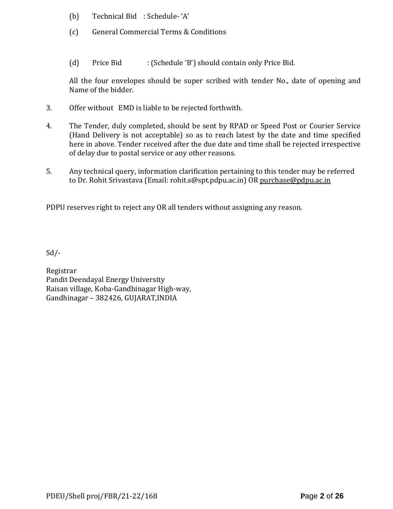- (b) Technical Bid : Schedule- 'A'
- (c) General Commercial Terms & Conditions
- (d) Price Bid : (Schedule 'B') should contain only Price Bid.

All the four envelopes should be super scribed with tender No., date of opening and Name of the bidder.

- 3. Offer without EMD is liable to be rejected forthwith.
- 4. The Tender, duly completed, should be sent by RPAD or Speed Post or Courier Service (Hand Delivery is not acceptable) so as to reach latest by the date and time specified here in above. Tender received after the due date and time shall be rejected irrespective of delay due to postal service or any other reasons.
- 5. Any technical query, information clarification pertaining to this tender may be referred to Dr. Rohit Srivastava (Email: rohit.s@spt.pdpu.ac.in) OR purchase@pdpu.ac.in

PDPU reserves right to reject any OR all tenders without assigning any reason.

Sd/-

Registrar Pandit Deendayal Energy University Raisan village, Koba-Gandhinagar High-way, Gandhinagar – 382426, GUJARAT,INDIA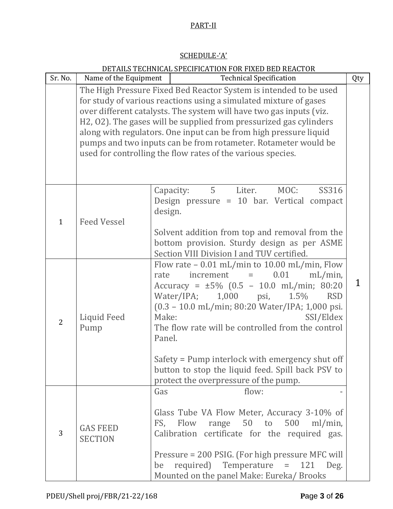# PART-II

# SCHEDULE-'A'

|                |                                   | DETAILS TECHNICAL SPECIFICATION FOR FIXED BED REACTOR                                                                                                                                                                                                                                                                                                                                                                                                                                     |     |
|----------------|-----------------------------------|-------------------------------------------------------------------------------------------------------------------------------------------------------------------------------------------------------------------------------------------------------------------------------------------------------------------------------------------------------------------------------------------------------------------------------------------------------------------------------------------|-----|
| Sr. No.        | Name of the Equipment             | <b>Technical Specification</b>                                                                                                                                                                                                                                                                                                                                                                                                                                                            | Qty |
|                |                                   | The High Pressure Fixed Bed Reactor System is intended to be used<br>for study of various reactions using a simulated mixture of gases<br>over different catalysts. The system will have two gas inputs (viz.<br>H2, 02). The gases will be supplied from pressurized gas cylinders<br>along with regulators. One input can be from high pressure liquid<br>pumps and two inputs can be from rotameter. Rotameter would be<br>used for controlling the flow rates of the various species. |     |
| $\mathbf{1}$   | <b>Feed Vessel</b>                | 5 <sup>1</sup><br>MOC:<br>SS316<br>Liter.<br>Capacity:<br>Design pressure = 10 bar. Vertical compact<br>design.<br>Solvent addition from top and removal from the<br>bottom provision. Sturdy design as per ASME<br>Section VIII Division I and TUV certified.                                                                                                                                                                                                                            |     |
| 2              | Liquid Feed<br>Pump               | Flow rate $-0.01$ mL/min to 10.00 mL/min, Flow<br>0.01<br>increment<br>$mL/min$ ,<br>rate<br>$\equiv$<br>Accuracy = $\pm 5\%$ (0.5 - 10.0 mL/min; 80:20<br>1,000<br>1.5%<br>Water/IPA;<br>psi,<br><b>RSD</b><br>(0.3 - 10.0 mL/min; 80:20 Water/IPA; 1,000 psi.<br>Make:<br>SSI/Eldex<br>The flow rate will be controlled from the control<br>Panel.<br>Safety = Pump interlock with emergency shut off<br>button to stop the liquid feed. Spill back PSV to                              |     |
| $\overline{3}$ | <b>GAS FEED</b><br><b>SECTION</b> | protect the overpressure of the pump.<br>Gas<br>flow:<br>Glass Tube VA Flow Meter, Accuracy 3-10% of<br>50 to 500<br>Flow<br>FS,<br>range<br>ml/min,<br>Calibration certificate for the required gas.<br>Pressure = 200 PSIG. (For high pressure MFC will<br>required) Temperature<br>121<br>$\quad \  \  =$<br>Deg.<br>be<br>Mounted on the panel Make: Eureka/ Brooks                                                                                                                   |     |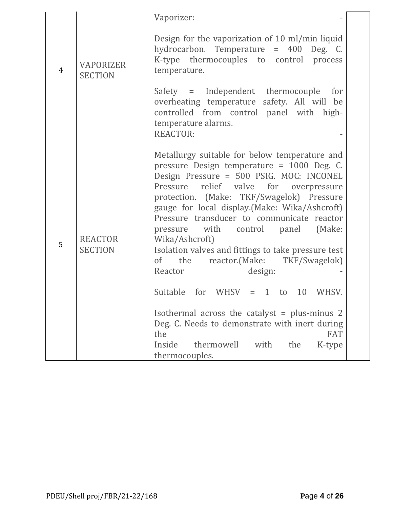| Design for the vaporization of 10 ml/min liquid<br>hydrocarbon. Temperature = 400 Deg. C.<br>K-type thermocouples to control<br>process<br><b>VAPORIZER</b><br>$\overline{4}$<br>temperature.<br><b>SECTION</b><br>Safety = Independent thermocouple<br>for<br>overheating temperature safety. All will be<br>controlled from control panel with high-<br>temperature alarms.<br><b>REACTOR:</b><br>Metallurgy suitable for below temperature and<br>pressure Design temperature = 1000 Deg. C.<br>Design Pressure = 500 PSIG. MOC: INCONEL<br>Pressure relief valve for overpressure<br>protection. (Make: TKF/Swagelok) Pressure<br>gauge for local display. (Make: Wika/Ashcroft)<br>Pressure transducer to communicate reactor<br>pressure with control panel<br>(Make:<br><b>REACTOR</b><br>Wika/Ashcroft)<br>5<br><b>SECTION</b><br>Isolation valves and fittings to take pressure test<br>reactor.(Make: TKF/Swagelok)<br>of the<br>Reactor<br>design:<br>Suitable<br>for WHSV $=$ 1 to 10<br>WHSV.<br>Isothermal across the catalyst = plus-minus $2$<br>Deg. C. Needs to demonstrate with inert during |  | Vaporizer:        |
|-----------------------------------------------------------------------------------------------------------------------------------------------------------------------------------------------------------------------------------------------------------------------------------------------------------------------------------------------------------------------------------------------------------------------------------------------------------------------------------------------------------------------------------------------------------------------------------------------------------------------------------------------------------------------------------------------------------------------------------------------------------------------------------------------------------------------------------------------------------------------------------------------------------------------------------------------------------------------------------------------------------------------------------------------------------------------------------------------------------------|--|-------------------|
|                                                                                                                                                                                                                                                                                                                                                                                                                                                                                                                                                                                                                                                                                                                                                                                                                                                                                                                                                                                                                                                                                                                 |  |                   |
|                                                                                                                                                                                                                                                                                                                                                                                                                                                                                                                                                                                                                                                                                                                                                                                                                                                                                                                                                                                                                                                                                                                 |  |                   |
|                                                                                                                                                                                                                                                                                                                                                                                                                                                                                                                                                                                                                                                                                                                                                                                                                                                                                                                                                                                                                                                                                                                 |  |                   |
| Inside<br>with<br>thermowell<br>the<br>K-type                                                                                                                                                                                                                                                                                                                                                                                                                                                                                                                                                                                                                                                                                                                                                                                                                                                                                                                                                                                                                                                                   |  | <b>FAT</b><br>the |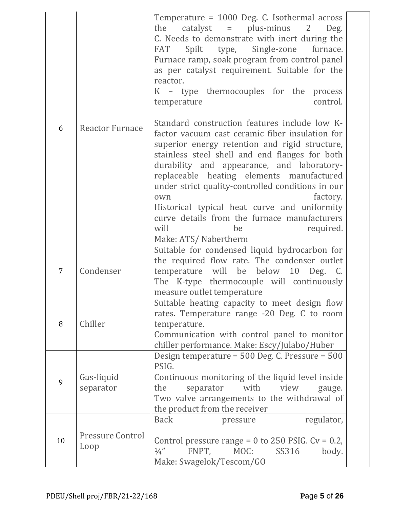| 6  | <b>Reactor Furnace</b>          | Temperature = 1000 Deg. C. Isothermal across<br>$catalyst$ = $plus-minus$ 2<br>the<br>Deg.<br>C. Needs to demonstrate with inert during the<br>Spilt type, Single-zone furnace.<br>FAT<br>Furnace ramp, soak program from control panel<br>as per catalyst requirement. Suitable for the<br>reactor.<br>K – type thermocouples for the<br>process<br>control.<br>temperature<br>Standard construction features include low K-<br>factor vacuum cast ceramic fiber insulation for<br>superior energy retention and rigid structure,<br>stainless steel shell and end flanges for both<br>durability and appearance, and laboratory-<br>replaceable heating elements manufactured<br>under strict quality-controlled conditions in our<br>factory.<br>own<br>Historical typical heat curve and uniformity<br>curve details from the furnace manufacturers<br>will<br>be<br>required.<br>Make: ATS/Nabertherm |
|----|---------------------------------|------------------------------------------------------------------------------------------------------------------------------------------------------------------------------------------------------------------------------------------------------------------------------------------------------------------------------------------------------------------------------------------------------------------------------------------------------------------------------------------------------------------------------------------------------------------------------------------------------------------------------------------------------------------------------------------------------------------------------------------------------------------------------------------------------------------------------------------------------------------------------------------------------------|
| 7  | Condenser                       | Suitable for condensed liquid hydrocarbon for<br>the required flow rate. The condenser outlet<br>temperature will be below<br>10<br>Deg. C.<br>The K-type thermocouple will continuously<br>measure outlet temperature                                                                                                                                                                                                                                                                                                                                                                                                                                                                                                                                                                                                                                                                                     |
| 8  | Chiller                         | Suitable heating capacity to meet design flow<br>rates. Temperature range -20 Deg. C to room<br>temperature.<br>Communication with control panel to monitor<br>chiller performance. Make: Escy/Julabo/Huber                                                                                                                                                                                                                                                                                                                                                                                                                                                                                                                                                                                                                                                                                                |
| 9  | Gas-liquid<br>separator         | Design temperature = $500$ Deg. C. Pressure = $500$<br>PSIG.<br>Continuous monitoring of the liquid level inside<br>with<br>the<br>separator<br>view<br>gauge.<br>Two valve arrangements to the withdrawal of<br>the product from the receiver                                                                                                                                                                                                                                                                                                                                                                                                                                                                                                                                                                                                                                                             |
| 10 | <b>Pressure Control</b><br>Loop | <b>Back</b><br>regulator,<br>pressure<br>Control pressure range = $0$ to 250 PSIG. Cv = 0.2,<br>FNPT,<br>$\frac{1}{4}$<br>MOC:<br>SS316<br>body.<br>Make: Swagelok/Tescom/GO                                                                                                                                                                                                                                                                                                                                                                                                                                                                                                                                                                                                                                                                                                                               |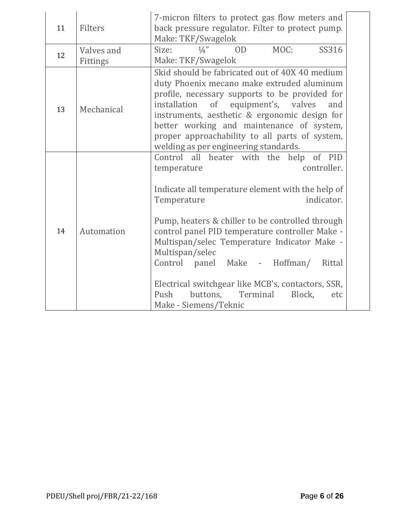| 11 | Filters                | 7-micron filters to protect gas flow meters and<br>back pressure regulator. Filter to protect pump.<br>Make: TKF/Swagelok                                                                                                                                                                                                                                                                                                                                                                                 |
|----|------------------------|-----------------------------------------------------------------------------------------------------------------------------------------------------------------------------------------------------------------------------------------------------------------------------------------------------------------------------------------------------------------------------------------------------------------------------------------------------------------------------------------------------------|
| 12 | Valves and<br>Fittings | 0 <sub>D</sub><br>MOC:<br>SS316<br>$\frac{1}{4}$<br>Size:<br>Make: TKF/Swagelok                                                                                                                                                                                                                                                                                                                                                                                                                           |
| 13 | Mechanical             | Skid should be fabricated out of 40X 40 medium<br>duty Phoenix mecano make extruded aluminum<br>profile, necessary supports to be provided for<br>of equipment's, valves<br>installation<br>and<br>instruments, aesthetic & ergonomic design for<br>better working and maintenance of system,<br>proper approachability to all parts of system,<br>welding as per engineering standards.                                                                                                                  |
| 14 | Automation             | Control all heater with the help of PID<br>controller.<br>temperature<br>Indicate all temperature element with the help of<br>indicator.<br>Temperature<br>Pump, heaters & chiller to be controlled through<br>control panel PID temperature controller Make -<br>Multispan/selec Temperature Indicator Make -<br>Multispan/selec<br>Control panel Make - Hoffman/<br>Rittal<br>Electrical switchgear like MCB's, contactors, SSR,<br>buttons, Terminal<br>Push<br>Block,<br>etc<br>Make - Siemens/Teknic |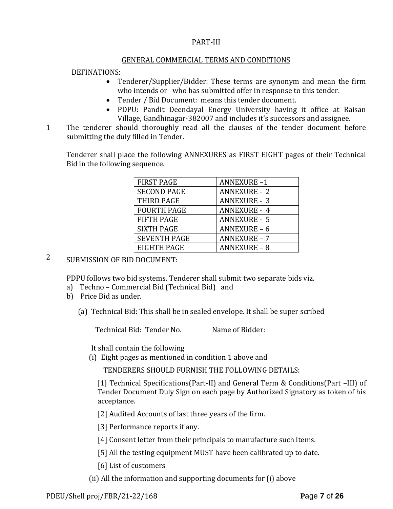### PART-III

### GENERAL COMMERCIAL TERMS AND CONDITIONS

### DEFINATIONS:

- Tenderer/Supplier/Bidder: These terms are synonym and mean the firm who intends or who has submitted offer in response to this tender.
- Tender / Bid Document: means this tender document.
- PDPU: Pandit Deendayal Energy University having it office at Raisan Village, Gandhinagar-382007 and includes it's successors and assignee.
- 1 The tenderer should thoroughly read all the clauses of the tender document before submitting the duly filled in Tender.

Tenderer shall place the following ANNEXURES as FIRST EIGHT pages of their Technical Bid in the following sequence.

| <b>FIRST PAGE</b>   | <b>ANNEXURE-1</b>   |
|---------------------|---------------------|
| <b>SECOND PAGE</b>  | <b>ANNEXURE - 2</b> |
| THIRD PAGE          | <b>ANNEXURE - 3</b> |
| <b>FOURTH PAGE</b>  | <b>ANNEXURE - 4</b> |
| <b>FIFTH PAGE</b>   | <b>ANNEXURE - 5</b> |
| <b>SIXTH PAGE</b>   | <b>ANNEXURE - 6</b> |
| <b>SEVENTH PAGE</b> | <b>ANNEXURE - 7</b> |
| EIGHTH PAGE         | <b>ANNEXURE - 8</b> |

# 2 SUBMISSION OF BID DOCUMENT:

PDPU follows two bid systems. Tenderer shall submit two separate bids viz.

- a) Techno Commercial Bid (Technical Bid) and
- b) Price Bid as under.
	- (a) Technical Bid: This shall be in sealed envelope. It shall be super scribed

| Technical Bid: Tender No. | Name of Bidder: |  |
|---------------------------|-----------------|--|

It shall contain the following

(i) Eight pages as mentioned in condition 1 above and

TENDERERS SHOULD FURNISH THE FOLLOWING DETAILS:

[1] Technical Specifications(Part-II) and General Term & Conditions(Part –III) of Tender Document Duly Sign on each page by Authorized Signatory as token of his acceptance.

[2] Audited Accounts of last three years of the firm.

[3] Performance reports if any.

- [4] Consent letter from their principals to manufacture such items.
- [5] All the testing equipment MUST have been calibrated up to date.
- [6] List of customers
- (ii) All the information and supporting documents for (i) above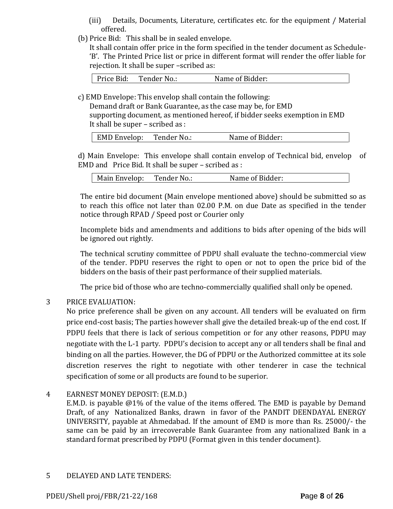- (iii) Details, Documents, Literature, certificates etc. for the equipment / Material offered.
- (b) Price Bid: This shall be in sealed envelope.

It shall contain offer price in the form specified in the tender document as Schedule- 'B'. The Printed Price list or price in different format will render the offer liable for rejection. It shall be super –scribed as:

| Tender No.:<br>Price Bid: | Name of Bidder: |  |
|---------------------------|-----------------|--|
|---------------------------|-----------------|--|

c) EMD Envelope: This envelop shall contain the following:

Demand draft or Bank Guarantee, as the case may be, for EMD

supporting document, as mentioned hereof, if bidder seeks exemption in EMD It shall be super – scribed as :

| <b>EMD Envelop:</b> | Tender No.: | Name of Bidder: |
|---------------------|-------------|-----------------|
|---------------------|-------------|-----------------|

d) Main Envelope: This envelope shall contain envelop of Technical bid, envelop of EMD and Price Bid. It shall be super – scribed as :

| Main Envelop:<br>Tender No | Name of Bidder: |
|----------------------------|-----------------|
|----------------------------|-----------------|

The entire bid document (Main envelope mentioned above) should be submitted so as to reach this office not later than 02.00 P.M. on due Date as specified in the tender notice through RPAD / Speed post or Courier only

Incomplete bids and amendments and additions to bids after opening of the bids will be ignored out rightly.

The technical scrutiny committee of PDPU shall evaluate the techno-commercial view of the tender. PDPU reserves the right to open or not to open the price bid of the bidders on the basis of their past performance of their supplied materials.

The price bid of those who are techno-commercially qualified shall only be opened.

# 3 PRICE EVALUATION:

No price preference shall be given on any account. All tenders will be evaluated on firm price end-cost basis; The parties however shall give the detailed break-up of the end cost. If PDPU feels that there is lack of serious competition or for any other reasons, PDPU may negotiate with the L-1 party. PDPU's decision to accept any or all tenders shall be final and binding on all the parties. However, the DG of PDPU or the Authorized committee at its sole discretion reserves the right to negotiate with other tenderer in case the technical specification of some or all products are found to be superior.

### 4 EARNEST MONEY DEPOSIT: (E.M.D.)

E.M.D. is payable @1% of the value of the items offered. The EMD is payable by Demand Draft, of any Nationalized Banks, drawn in favor of the PANDIT DEENDAYAL ENERGY UNIVERSITY, payable at Ahmedabad. If the amount of EMD is more than Rs. 25000/- the same can be paid by an irrecoverable Bank Guarantee from any nationalized Bank in a standard format prescribed by PDPU (Format given in this tender document).

### 5 DELAYED AND LATE TENDERS: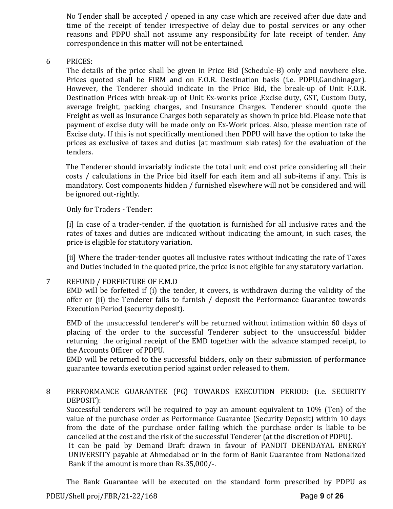No Tender shall be accepted / opened in any case which are received after due date and time of the receipt of tender irrespective of delay due to postal services or any other reasons and PDPU shall not assume any responsibility for late receipt of tender. Any correspondence in this matter will not be entertained.

6 PRICES:

The details of the price shall be given in Price Bid (Schedule-B) only and nowhere else. Prices quoted shall be FIRM and on F.O.R. Destination basis (i.e. PDPU,Gandhinagar). However, the Tenderer should indicate in the Price Bid, the break-up of Unit F.O.R. Destination Prices with break-up of Unit Ex-works price ,Excise duty, GST, Custom Duty, average freight, packing charges, and Insurance Charges. Tenderer should quote the Freight as well as Insurance Charges both separately as shown in price bid. Please note that payment of excise duty will be made only on Ex-Work prices. Also, please mention rate of Excise duty. If this is not specifically mentioned then PDPU will have the option to take the prices as exclusive of taxes and duties (at maximum slab rates) for the evaluation of the tenders.

The Tenderer should invariably indicate the total unit end cost price considering all their costs / calculations in the Price bid itself for each item and all sub-items if any. This is mandatory. Cost components hidden / furnished elsewhere will not be considered and will be ignored out-rightly.

Only for Traders - Tender:

[i] In case of a trader-tender, if the quotation is furnished for all inclusive rates and the rates of taxes and duties are indicated without indicating the amount, in such cases, the price is eligible for statutory variation.

[ii] Where the trader-tender quotes all inclusive rates without indicating the rate of Taxes and Duties included in the quoted price, the price is not eligible for any statutory variation.

### 7 REFUND / FORFIETURE OF E.M.D

EMD will be forfeited if (i) the tender, it covers, is withdrawn during the validity of the offer or (ii) the Tenderer fails to furnish / deposit the Performance Guarantee towards Execution Period (security deposit).

EMD of the unsuccessful tenderer's will be returned without intimation within 60 days of placing of the order to the successful Tenderer subject to the unsuccessful bidder returning the original receipt of the EMD together with the advance stamped receipt, to the Accounts Officer of PDPU.

EMD will be returned to the successful bidders, only on their submission of performance guarantee towards execution period against order released to them.

## 8 PERFORMANCE GUARANTEE (PG) TOWARDS EXECUTION PERIOD: (i.e. SECURITY DEPOSIT):

Successful tenderers will be required to pay an amount equivalent to 10% (Ten) of the value of the purchase order as Performance Guarantee (Security Deposit) within 10 days from the date of the purchase order failing which the purchase order is liable to be cancelled at the cost and the risk of the successful Tenderer (at the discretion of PDPU).

It can be paid by Demand Draft drawn in favour of PANDIT DEENDAYAL ENERGY UNIVERSITY payable at Ahmedabad or in the form of Bank Guarantee from Nationalized Bank if the amount is more than Rs.35,000/-.

PDEU/Shell proj/FBR/21-22/168 **P**age **9** of **26** The Bank Guarantee will be executed on the standard form prescribed by PDPU as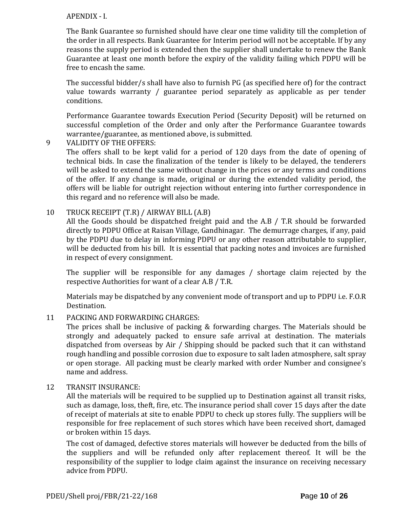### APENDIX - I.

The Bank Guarantee so furnished should have clear one time validity till the completion of the order in all respects. Bank Guarantee for Interim period will not be acceptable. If by any reasons the supply period is extended then the supplier shall undertake to renew the Bank Guarantee at least one month before the expiry of the validity failing which PDPU will be free to encash the same.

The successful bidder/s shall have also to furnish PG (as specified here of) for the contract value towards warranty / guarantee period separately as applicable as per tender conditions.

Performance Guarantee towards Execution Period (Security Deposit) will be returned on successful completion of the Order and only after the Performance Guarantee towards warrantee/guarantee, as mentioned above, is submitted.

9 VALIDITY OF THE OFFERS:

The offers shall to be kept valid for a period of 120 days from the date of opening of technical bids. In case the finalization of the tender is likely to be delayed, the tenderers will be asked to extend the same without change in the prices or any terms and conditions of the offer. If any change is made, original or during the extended validity period, the offers will be liable for outright rejection without entering into further correspondence in this regard and no reference will also be made.

### 10 TRUCK RECEIPT (T.R) / AIRWAY BILL (A.B)

All the Goods should be dispatched freight paid and the A.B / T.R should be forwarded directly to PDPU Office at Raisan Village, Gandhinagar. The demurrage charges, if any, paid by the PDPU due to delay in informing PDPU or any other reason attributable to supplier, will be deducted from his bill. It is essential that packing notes and invoices are furnished in respect of every consignment.

The supplier will be responsible for any damages / shortage claim rejected by the respective Authorities for want of a clear A.B / T.R.

Materials may be dispatched by any convenient mode of transport and up to PDPU i.e. F.O.R Destination.

11 PACKING AND FORWARDING CHARGES:

The prices shall be inclusive of packing & forwarding charges. The Materials should be strongly and adequately packed to ensure safe arrival at destination. The materials dispatched from overseas by Air / Shipping should be packed such that it can withstand rough handling and possible corrosion due to exposure to salt laden atmosphere, salt spray or open storage. All packing must be clearly marked with order Number and consignee's name and address.

### 12 TRANSIT INSURANCE:

All the materials will be required to be supplied up to Destination against all transit risks, such as damage, loss, theft, fire, etc. The insurance period shall cover 15 days after the date of receipt of materials at site to enable PDPU to check up stores fully. The suppliers will be responsible for free replacement of such stores which have been received short, damaged or broken within 15 days.

The cost of damaged, defective stores materials will however be deducted from the bills of the suppliers and will be refunded only after replacement thereof. It will be the responsibility of the supplier to lodge claim against the insurance on receiving necessary advice from PDPU.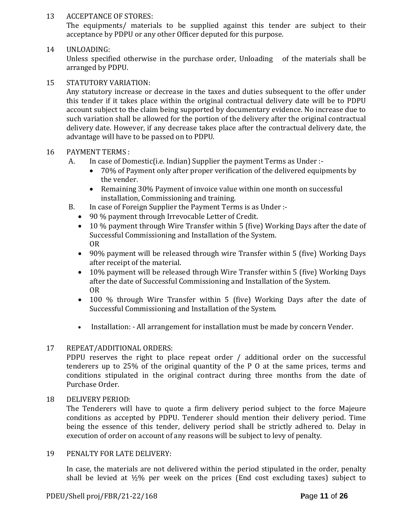### 13 ACCEPTANCE OF STORES:

The equipments/ materials to be supplied against this tender are subject to their acceptance by PDPU or any other Officer deputed for this purpose.

# 14 UNLOADING:

Unless specified otherwise in the purchase order, Unloading of the materials shall be arranged by PDPU.

### 15 STATUTORY VARIATION:

Any statutory increase or decrease in the taxes and duties subsequent to the offer under this tender if it takes place within the original contractual delivery date will be to PDPU account subject to the claim being supported by documentary evidence. No increase due to such variation shall be allowed for the portion of the delivery after the original contractual delivery date. However, if any decrease takes place after the contractual delivery date, the advantage will have to be passed on to PDPU.

### 16 PAYMENT TERMS :

- A. In case of Domestic(i.e. Indian) Supplier the payment Terms as Under :-
	- 70% of Payment only after proper verification of the delivered equipments by the vender.
	- Remaining 30% Payment of invoice value within one month on successful installation, Commissioning and training.
- B. In case of Foreign Supplier the Payment Terms is as Under :-
	- 90 % payment through Irrevocable Letter of Credit.
	- 10 % payment through Wire Transfer within 5 (five) Working Days after the date of Successful Commissioning and Installation of the System. OR
	- 90% payment will be released through wire Transfer within 5 (five) Working Days after receipt of the material.
	- 10% payment will be released through Wire Transfer within 5 (five) Working Days after the date of Successful Commissioning and Installation of the System. OR
	- 100 % through Wire Transfer within 5 (five) Working Days after the date of Successful Commissioning and Installation of the System.
	- Installation: All arrangement for installation must be made by concern Vender.

### 17 REPEAT/ADDITIONAL ORDERS:

PDPU reserves the right to place repeat order / additional order on the successful tenderers up to 25% of the original quantity of the P O at the same prices, terms and conditions stipulated in the original contract during three months from the date of Purchase Order.

### 18 DELIVERY PERIOD:

The Tenderers will have to quote a firm delivery period subject to the force Majeure conditions as accepted by PDPU. Tenderer should mention their delivery period. Time being the essence of this tender, delivery period shall be strictly adhered to. Delay in execution of order on account of any reasons will be subject to levy of penalty.

### 19 PENALTY FOR LATE DELIVERY:

In case, the materials are not delivered within the period stipulated in the order, penalty shall be levied at  $\frac{1}{2}\%$  per week on the prices (End cost excluding taxes) subject to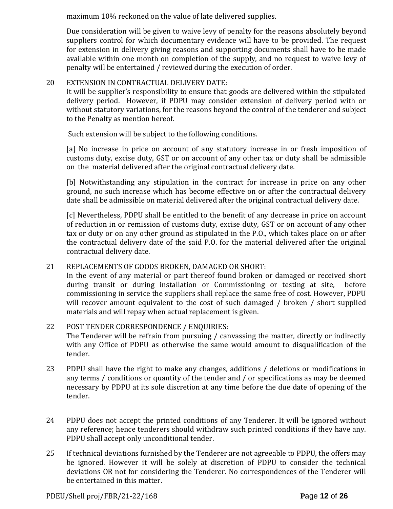maximum 10% reckoned on the value of late delivered supplies.

Due consideration will be given to waive levy of penalty for the reasons absolutely beyond suppliers control for which documentary evidence will have to be provided. The request for extension in delivery giving reasons and supporting documents shall have to be made available within one month on completion of the supply, and no request to waive levy of penalty will be entertained / reviewed during the execution of order.

# 20 EXTENSION IN CONTRACTUAL DELIVERY DATE:

It will be supplier's responsibility to ensure that goods are delivered within the stipulated delivery period. However, if PDPU may consider extension of delivery period with or without statutory variations, for the reasons beyond the control of the tenderer and subject to the Penalty as mention hereof.

Such extension will be subject to the following conditions.

[a] No increase in price on account of any statutory increase in or fresh imposition of customs duty, excise duty, GST or on account of any other tax or duty shall be admissible on the material delivered after the original contractual delivery date.

[b] Notwithstanding any stipulation in the contract for increase in price on any other ground, no such increase which has become effective on or after the contractual delivery date shall be admissible on material delivered after the original contractual delivery date.

[c] Nevertheless, PDPU shall be entitled to the benefit of any decrease in price on account of reduction in or remission of customs duty, excise duty, GST or on account of any other tax or duty or on any other ground as stipulated in the P.O., which takes place on or after the contractual delivery date of the said P.O. for the material delivered after the original contractual delivery date.

# 21 REPLACEMENTS OF GOODS BROKEN, DAMAGED OR SHORT:

In the event of any material or part thereof found broken or damaged or received short during transit or during installation or Commissioning or testing at site, before commissioning in service the suppliers shall replace the same free of cost. However, PDPU will recover amount equivalent to the cost of such damaged / broken / short supplied materials and will repay when actual replacement is given.

## 22 POST TENDER CORRESPONDENCE / ENQUIRIES: The Tenderer will be refrain from pursuing / canvassing the matter, directly or indirectly with any Office of PDPU as otherwise the same would amount to disqualification of the tender.

- 23 PDPU shall have the right to make any changes, additions / deletions or modifications in any terms / conditions or quantity of the tender and / or specifications as may be deemed necessary by PDPU at its sole discretion at any time before the due date of opening of the tender.
- 24 PDPU does not accept the printed conditions of any Tenderer. It will be ignored without any reference; hence tenderers should withdraw such printed conditions if they have any. PDPU shall accept only unconditional tender.
- 25 If technical deviations furnished by the Tenderer are not agreeable to PDPU, the offers may be ignored. However it will be solely at discretion of PDPU to consider the technical deviations OR not for considering the Tenderer. No correspondences of the Tenderer will be entertained in this matter.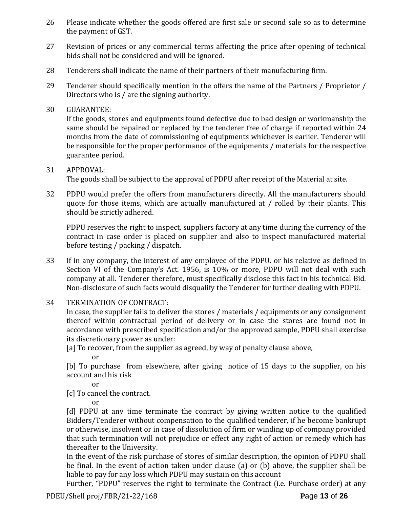- 26 Please indicate whether the goods offered are first sale or second sale so as to determine the payment of GST.
- 27 Revision of prices or any commercial terms affecting the price after opening of technical bids shall not be considered and will be ignored.
- 28 Tenderers shall indicate the name of their partners of their manufacturing firm.
- 29 Tenderer should specifically mention in the offers the name of the Partners / Proprietor / Directors who is / are the signing authority.
- 30 GUARANTEE:

If the goods, stores and equipments found defective due to bad design or workmanship the same should be repaired or replaced by the tenderer free of charge if reported within 24 months from the date of commissioning of equipments whichever is earlier. Tenderer will be responsible for the proper performance of the equipments / materials for the respective guarantee period.

# 31 APPROVAL:

The goods shall be subject to the approval of PDPU after receipt of the Material at site.

32 PDPU would prefer the offers from manufacturers directly. All the manufacturers should quote for those items, which are actually manufactured at / rolled by their plants. This should be strictly adhered.

PDPU reserves the right to inspect, suppliers factory at any time during the currency of the contract in case order is placed on supplier and also to inspect manufactured material before testing / packing / dispatch.

- 33 If in any company, the interest of any employee of the PDPU. or his relative as defined in Section VI of the Company's Act. 1956, is 10% or more, PDPU will not deal with such company at all. Tenderer therefore, must specifically disclose this fact in his technical Bid. Non-disclosure of such facts would disqualify the Tenderer for further dealing with PDPU.
- 34 TERMINATION OF CONTRACT:

In case, the supplier fails to deliver the stores / materials / equipments or any consignment thereof within contractual period of delivery or in case the stores are found not in accordance with prescribed specification and/or the approved sample, PDPU shall exercise its discretionary power as under:

[a] To recover, from the supplier as agreed, by way of penalty clause above,

or

[b] To purchase from elsewhere, after giving notice of 15 days to the supplier, on his account and his risk

or

[c] To cancel the contract.

or

[d] PDPU at any time terminate the contract by giving written notice to the qualified Bidders/Tenderer without compensation to the qualified tenderer, if he become bankrupt or otherwise, insolvent or in case of dissolution of firm or winding up of company provided that such termination will not prejudice or effect any right of action or remedy which has thereafter to the University.

In the event of the risk purchase of stores of similar description, the opinion of PDPU shall be final. In the event of action taken under clause (a) or (b) above, the supplier shall be liable to pay for any loss which PDPU may sustain on this account

Further, "PDPU" reserves the right to terminate the Contract (i.e. Purchase order) at any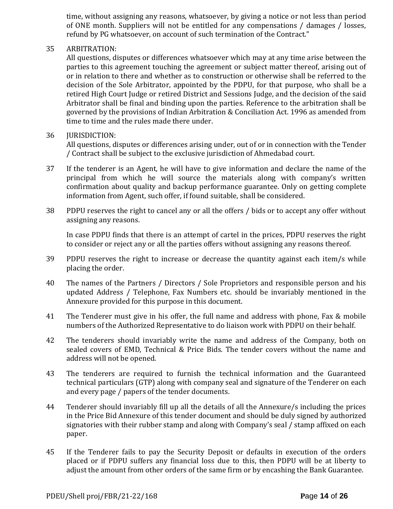time, without assigning any reasons, whatsoever, by giving a notice or not less than period of ONE month. Suppliers will not be entitled for any compensations / damages / losses, refund by PG whatsoever, on account of such termination of the Contract."

### 35 ARBITRATION:

All questions, disputes or differences whatsoever which may at any time arise between the parties to this agreement touching the agreement or subject matter thereof, arising out of or in relation to there and whether as to construction or otherwise shall be referred to the decision of the Sole Arbitrator, appointed by the PDPU, for that purpose, who shall be a retired High Court Judge or retired District and Sessions Judge, and the decision of the said Arbitrator shall be final and binding upon the parties. Reference to the arbitration shall be governed by the provisions of Indian Arbitration & Conciliation Act. 1996 as amended from time to time and the rules made there under.

### 36 **IURISDICTION:**

All questions, disputes or differences arising under, out of or in connection with the Tender / Contract shall be subject to the exclusive jurisdiction of Ahmedabad court.

- 37 If the tenderer is an Agent, he will have to give information and declare the name of the principal from which he will source the materials along with company's written confirmation about quality and backup performance guarantee. Only on getting complete information from Agent, such offer, if found suitable, shall be considered.
- 38 PDPU reserves the right to cancel any or all the offers / bids or to accept any offer without assigning any reasons.

In case PDPU finds that there is an attempt of cartel in the prices, PDPU reserves the right to consider or reject any or all the parties offers without assigning any reasons thereof.

- 39 PDPU reserves the right to increase or decrease the quantity against each item/s while placing the order.
- 40 The names of the Partners / Directors / Sole Proprietors and responsible person and his updated Address / Telephone, Fax Numbers etc. should be invariably mentioned in the Annexure provided for this purpose in this document.
- 41 The Tenderer must give in his offer, the full name and address with phone, Fax & mobile numbers of the Authorized Representative to do liaison work with PDPU on their behalf.
- 42 The tenderers should invariably write the name and address of the Company, both on sealed covers of EMD, Technical & Price Bids. The tender covers without the name and address will not be opened.
- 43 The tenderers are required to furnish the technical information and the Guaranteed technical particulars (GTP) along with company seal and signature of the Tenderer on each and every page / papers of the tender documents.
- 44 Tenderer should invariably fill up all the details of all the Annexure/s including the prices in the Price Bid Annexure of this tender document and should be duly signed by authorized signatories with their rubber stamp and along with Company's seal / stamp affixed on each paper.
- 45 If the Tenderer fails to pay the Security Deposit or defaults in execution of the orders placed or if PDPU suffers any financial loss due to this, then PDPU will be at liberty to adjust the amount from other orders of the same firm or by encashing the Bank Guarantee.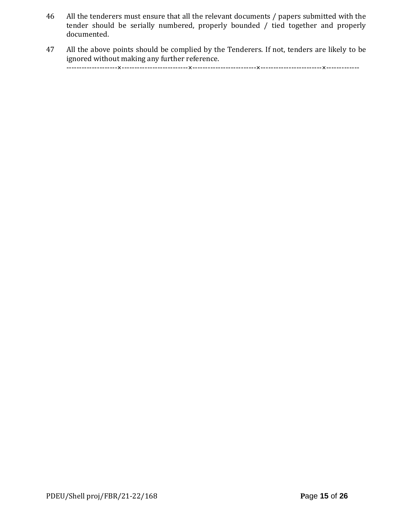- 46 All the tenderers must ensure that all the relevant documents / papers submitted with the tender should be serially numbered, properly bounded / tied together and properly documented.
- 47 All the above points should be complied by the Tenderers. If not, tenders are likely to be ignored without making any further reference. --------------------×--------------------------×-------------------------×------------------------×-------------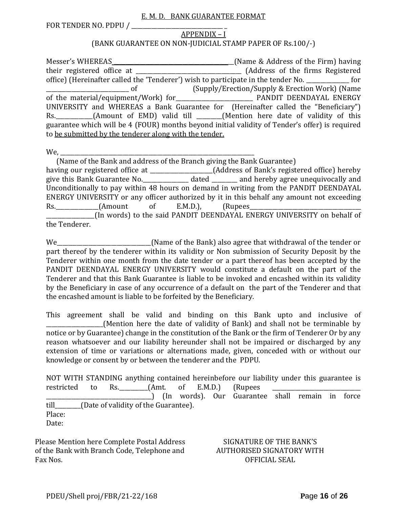### E. M. D. BANK GUARANTEE FORMAT

FOR TENDER NO. PDPU /

### APPENDIX – I

### (BANK GUARANTEE ON NON-JUDICIAL STAMP PAPER OF Rs.100/-)

Messer's WHEREAS \_\_\_\_\_\_\_\_\_\_\_\_\_\_\_\_\_\_\_\_\_\_\_\_\_\_\_\_\_\_\_\_\_\_\_\_\_\_\_\_\_\_(Name & Address of the Firm) having their registered office at \_\_\_\_\_\_\_\_\_\_\_\_\_\_\_\_\_\_\_\_\_\_\_\_\_\_\_\_\_\_\_\_\_\_\_\_\_ (Address of the firms Registered office) (Hereinafter called the 'Tenderer') wish to participate in the tender No. \_\_\_\_\_\_\_\_\_\_\_\_\_\_\_ for \_\_\_\_\_\_\_\_\_\_\_\_\_\_\_\_\_\_\_\_\_\_\_\_\_\_\_\_\_ of (Supply/Erection/Supply & Erection Work) (Name of the material/equipment/Work) for **Evaluate 19** PANDIT DEENDAYAL ENERGY UNIVERSITY and WHEREAS a Bank Guarantee for (Hereinafter called the "Beneficiary") Rs. \_\_\_\_\_\_\_\_\_\_(Amount of EMD) valid till \_\_\_\_\_\_(Mention here date of validity of this guarantee which will be 4 (FOUR) months beyond initial validity of Tender's offer) is required to be submitted by the tenderer along with the tender.

We,

 (Name of the Bank and address of the Branch giving the Bank Guarantee) having our registered office at \_\_\_\_\_\_\_\_\_\_\_\_\_\_\_\_\_\_\_\_\_\_(Address of Bank's registered office) hereby give this Bank Guarantee No.\_\_\_\_\_\_\_\_\_\_\_\_\_\_\_\_ dated \_\_\_\_\_\_\_\_\_ and hereby agree unequivocally and Unconditionally to pay within 48 hours on demand in writing from the PANDIT DEENDAYAL ENERGY UNIVERSITY or any officer authorized by it in this behalf any amount not exceeding Rs. (Amount of E.M.D.), (Rupees \_\_\_\_\_\_\_\_\_\_\_\_\_\_\_\_\_(In words) to the said PANDIT DEENDAYAL ENERGY UNIVERSITY on behalf of the Tenderer.

We\_\_\_\_\_\_\_\_\_\_\_\_\_\_\_\_\_\_\_\_\_\_\_\_\_\_\_\_\_\_\_\_\_(Name of the Bank) also agree that withdrawal of the tender or part thereof by the tenderer within its validity or Non submission of Security Deposit by the Tenderer within one month from the date tender or a part thereof has been accepted by the PANDIT DEENDAYAL ENERGY UNIVERSITY would constitute a default on the part of the Tenderer and that this Bank Guarantee is liable to be invoked and encashed within its validity by the Beneficiary in case of any occurrence of a default on the part of the Tenderer and that the encashed amount is liable to be forfeited by the Beneficiary.

This agreement shall be valid and binding on this Bank upto and inclusive of \_\_\_\_\_\_\_\_\_\_\_\_\_\_\_\_\_\_\_\_(Mention here the date of validity of Bank) and shall not be terminable by notice or by Guarantee) change in the constitution of the Bank or the firm of Tenderer Or by any reason whatsoever and our liability hereunder shall not be impaired or discharged by any extension of time or variations or alternations made, given, conceded with or without our knowledge or consent by or between the tenderer and the PDPU.

NOT WITH STANDING anything contained hereinbefore our liability under this guarantee is restricted to Rs. (Amt. of E.M.D.) (Rupees \_\_\_\_\_\_\_\_\_\_\_\_\_\_\_\_\_\_\_\_\_\_\_\_\_\_\_\_\_\_\_\_\_\_\_\_\_) (In words). Our Guarantee shall remain in force till\_\_\_\_\_\_\_\_\_(Date of validity of the Guarantee). Place: Date:

Please Mention here Complete Postal Address of the Bank with Branch Code, Telephone and Fax Nos.

### SIGNATURE OF THE BANK'S AUTHORISED SIGNATORY WITH OFFICIAL SEAL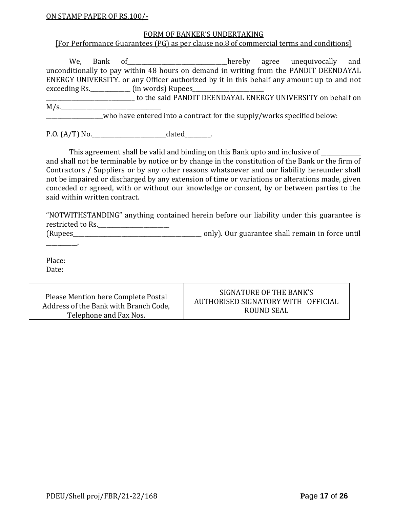### ON STAMP PAPER OF RS.100/-

### FORM OF BANKER'S UNDERTAKING

### [For Performance Guarantees (PG) as per clause no.8 of commercial terms and conditions]

We, Bank of\_\_\_\_\_\_\_\_\_\_\_\_\_\_\_\_\_\_\_\_\_\_\_\_\_\_\_\_\_\_\_\_\_\_\_hereby agree unequivocally and unconditionally to pay within 48 hours on demand in writing from the PANDIT DEENDAYAL ENERGY UNIVERSITY. or any Officer authorized by it in this behalf any amount up to and not exceeding Rs.\_\_\_\_\_\_\_\_\_\_\_\_\_\_ (in words) Rupees\_\_\_\_\_\_\_\_\_\_\_\_\_\_\_\_\_\_\_\_\_\_\_\_\_

to the said PANDIT DEENDAYAL ENERGY UNIVERSITY on behalf on  $M/s$ .

\_\_\_\_\_\_\_\_\_\_\_\_\_\_\_\_\_\_\_\_who have entered into a contract for the supply/works specified below:

P.O.  $(A/T)$  No.  $\qquad \qquad$  dated  $\qquad \qquad$ .

This agreement shall be valid and binding on this Bank upto and inclusive of  $\_$ and shall not be terminable by notice or by change in the constitution of the Bank or the firm of Contractors / Suppliers or by any other reasons whatsoever and our liability hereunder shall not be impaired or discharged by any extension of time or variations or alterations made, given conceded or agreed, with or without our knowledge or consent, by or between parties to the said within written contract.

"NOTWITHSTANDING" anything contained herein before our liability under this guarantee is restricted to Rs.\_\_\_\_\_\_\_\_\_\_\_\_\_\_\_\_\_\_\_\_\_\_\_\_\_

(Rupees\_\_\_\_\_\_\_\_\_\_\_\_\_\_\_\_\_\_\_\_\_\_\_\_\_\_\_\_\_\_\_\_\_\_\_\_\_\_\_\_\_\_\_\_\_ only). Our guarantee shall remain in force until

Place: Date:

\_\_\_\_\_\_\_\_\_\_\_.

Please Mention here Complete Postal Address of the Bank with Branch Code, Telephone and Fax Nos. SIGNATURE OF THE BANK'S AUTHORISED SIGNATORY WITH OFFICIAL ROUND SEAL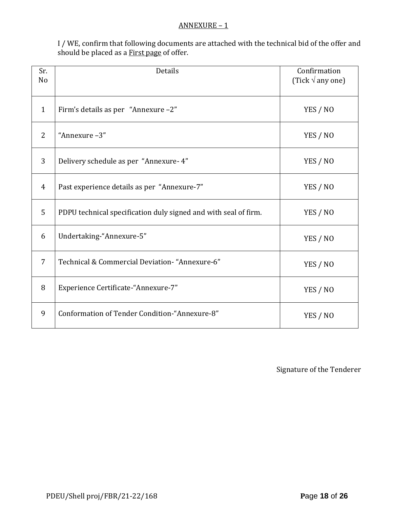### ANNEXURE – 1

I / WE, confirm that following documents are attached with the technical bid of the offer and should be placed as a First page of offer.

| Sr.<br>N <sub>o</sub> | Details                                                         | Confirmation<br>(Tick $\sqrt{ }$ any one) |
|-----------------------|-----------------------------------------------------------------|-------------------------------------------|
| $\mathbf{1}$          | Firm's details as per "Annexure -2"                             | YES / NO                                  |
| 2                     | "Annexure -3"                                                   | YES / NO                                  |
| 3                     | Delivery schedule as per "Annexure- 4"                          | YES / NO                                  |
| $\overline{4}$        | Past experience details as per "Annexure-7"                     | YES / NO                                  |
| 5                     | PDPU technical specification duly signed and with seal of firm. | YES / NO                                  |
| 6                     | Undertaking-"Annexure-5"                                        | YES / NO                                  |
| 7                     | Technical & Commercial Deviation- "Annexure-6"                  | YES / NO                                  |
| 8                     | Experience Certificate-"Annexure-7"                             | YES / NO                                  |
| 9                     | Conformation of Tender Condition-"Annexure-8"                   | YES / NO                                  |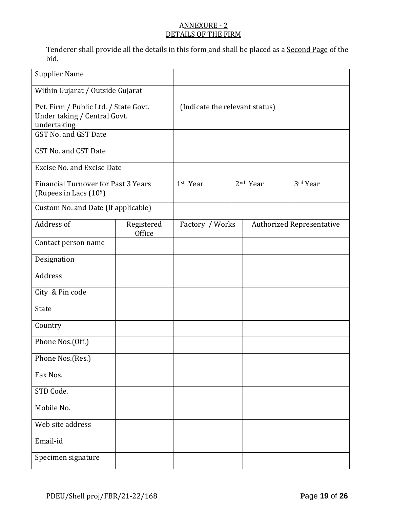# ANNEXURE - 2 DETAILS OF THE FIRM

Tenderer shall provide all the details in this form and shall be placed as a **Second Page** of the bid.

| <b>Supplier Name</b>                                                                                         |                                |                 |  |                      |                                  |  |
|--------------------------------------------------------------------------------------------------------------|--------------------------------|-----------------|--|----------------------|----------------------------------|--|
| Within Gujarat / Outside Gujarat                                                                             |                                |                 |  |                      |                                  |  |
| Pvt. Firm / Public Ltd. / State Govt.<br>Under taking / Central Govt.<br>undertaking<br>GST No. and GST Date | (Indicate the relevant status) |                 |  |                      |                                  |  |
| CST No. and CST Date                                                                                         |                                |                 |  |                      |                                  |  |
| <b>Excise No. and Excise Date</b>                                                                            |                                |                 |  |                      |                                  |  |
| <b>Financial Turnover for Past 3 Years</b><br>(Rupees in Lacs (10 <sup>5</sup> )                             |                                | 1st Year        |  | 2 <sup>nd</sup> Year | 3rd Year                         |  |
| Custom No. and Date (If applicable)                                                                          |                                |                 |  |                      |                                  |  |
| Address of                                                                                                   | Registered<br>Office           | Factory / Works |  |                      | <b>Authorized Representative</b> |  |
| Contact person name                                                                                          |                                |                 |  |                      |                                  |  |
| Designation                                                                                                  |                                |                 |  |                      |                                  |  |
| Address                                                                                                      |                                |                 |  |                      |                                  |  |
| City & Pin code                                                                                              |                                |                 |  |                      |                                  |  |
| State                                                                                                        |                                |                 |  |                      |                                  |  |
| Country                                                                                                      |                                |                 |  |                      |                                  |  |
| Phone Nos.(Off.)                                                                                             |                                |                 |  |                      |                                  |  |
| Phone Nos.(Res.)                                                                                             |                                |                 |  |                      |                                  |  |
| Fax Nos.                                                                                                     |                                |                 |  |                      |                                  |  |
| STD Code.                                                                                                    |                                |                 |  |                      |                                  |  |
| Mobile No.                                                                                                   |                                |                 |  |                      |                                  |  |
| Web site address                                                                                             |                                |                 |  |                      |                                  |  |
| Email-id                                                                                                     |                                |                 |  |                      |                                  |  |
| Specimen signature                                                                                           |                                |                 |  |                      |                                  |  |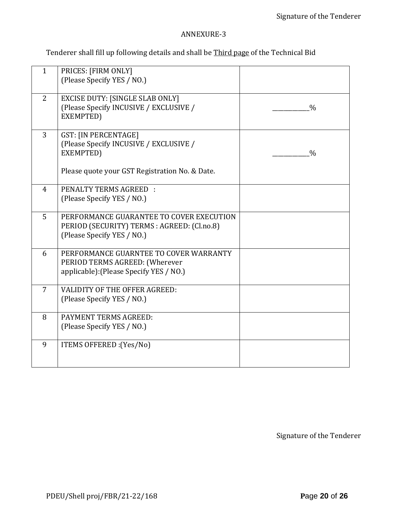# ANNEXURE-3

Tenderer shall fill up following details and shall be Third page of the Technical Bid

| $\mathbf{1}$   | PRICES: [FIRM ONLY]<br>(Please Specify YES / NO.)                                                                     |               |
|----------------|-----------------------------------------------------------------------------------------------------------------------|---------------|
| 2              | <b>EXCISE DUTY: [SINGLE SLAB ONLY]</b><br>(Please Specify INCUSIVE / EXCLUSIVE /<br>EXEMPTED)                         | $\frac{0}{0}$ |
| 3              | <b>GST: [IN PERCENTAGE]</b><br>(Please Specify INCUSIVE / EXCLUSIVE /<br>EXEMPTED)                                    | $\frac{0}{0}$ |
|                | Please quote your GST Registration No. & Date.                                                                        |               |
| $\overline{4}$ | <b>PENALTY TERMS AGREED:</b><br>(Please Specify YES / NO.)                                                            |               |
| 5              | PERFORMANCE GUARANTEE TO COVER EXECUTION<br>PERIOD (SECURITY) TERMS : AGREED: (Cl.no.8)<br>(Please Specify YES / NO.) |               |
| 6              | PERFORMANCE GUARNTEE TO COVER WARRANTY<br>PERIOD TERMS AGREED: (Wherever<br>applicable): (Please Specify YES / NO.)   |               |
| $\overline{7}$ | <b>VALIDITY OF THE OFFER AGREED:</b><br>(Please Specify YES / NO.)                                                    |               |
| 8              | PAYMENT TERMS AGREED:<br>(Please Specify YES / NO.)                                                                   |               |
| 9              | ITEMS OFFERED : (Yes/No)                                                                                              |               |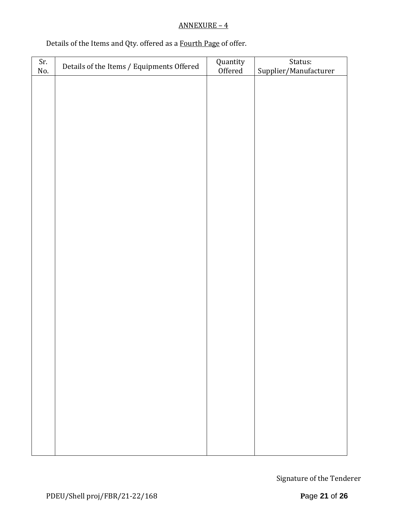## ANNEXURE – 4

# Details of the Items and Qty. offered as a Fourth Page of offer.

| Sr.<br>No. | Details of the Items / Equipments Offered | Quantity<br>Offered | Status:<br>Supplier/Manufacturer |
|------------|-------------------------------------------|---------------------|----------------------------------|
|            |                                           |                     |                                  |
|            |                                           |                     |                                  |
|            |                                           |                     |                                  |
|            |                                           |                     |                                  |
|            |                                           |                     |                                  |
|            |                                           |                     |                                  |
|            |                                           |                     |                                  |
|            |                                           |                     |                                  |
|            |                                           |                     |                                  |
|            |                                           |                     |                                  |
|            |                                           |                     |                                  |
|            |                                           |                     |                                  |
|            |                                           |                     |                                  |
|            |                                           |                     |                                  |
|            |                                           |                     |                                  |
|            |                                           |                     |                                  |
|            |                                           |                     |                                  |
|            |                                           |                     |                                  |
|            |                                           |                     |                                  |
|            |                                           |                     |                                  |
|            |                                           |                     |                                  |
|            |                                           |                     |                                  |
|            |                                           |                     |                                  |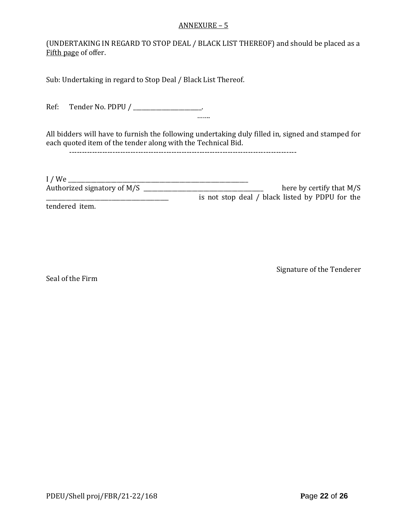### ANNEXURE – 5

(UNDERTAKING IN REGARD TO STOP DEAL / BLACK LIST THEREOF) and should be placed as a Fifth page of offer.

Sub: Undertaking in regard to Stop Deal / Black List Thereof.

Ref: Tender No. PDPU / \_\_\_\_\_\_\_\_\_\_\_\_\_\_\_\_\_\_\_\_\_. …….

All bidders will have to furnish the following undertaking duly filled in, signed and stamped for each quoted item of the tender along with the Technical Bid.

-----------------------------------------------------------------------------------------

I / We \_\_\_\_\_\_\_\_\_\_\_\_\_\_\_\_\_\_\_\_\_\_\_\_\_\_\_\_\_\_\_\_\_\_\_\_\_\_\_\_\_\_\_\_\_\_\_\_\_\_\_\_\_\_\_\_\_\_\_\_\_\_\_ Authorized signatory of M/S \_\_\_\_\_\_\_\_\_\_\_\_\_\_\_\_\_\_\_\_\_\_\_\_\_\_\_\_\_\_\_\_\_\_\_\_\_\_\_\_\_\_ here by certify that M/S is not stop deal / black listed by PDPU for the

tendered item.

Signature of the Tenderer

Seal of the Firm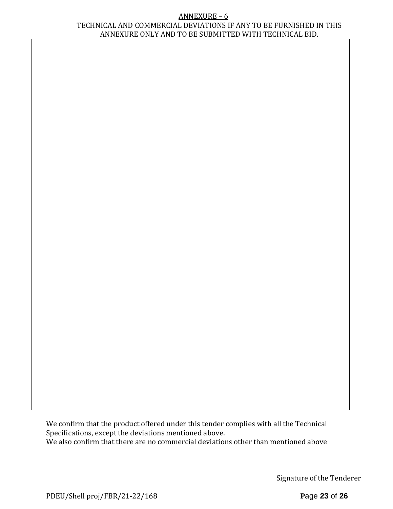### ANNEXURE – 6 TECHNICAL AND COMMERCIAL DEVIATIONS IF ANY TO BE FURNISHED IN THIS ANNEXURE ONLY AND TO BE SUBMITTED WITH TECHNICAL BID.

We confirm that the product offered under this tender complies with all the Technical Specifications, except the deviations mentioned above. We also confirm that there are no commercial deviations other than mentioned above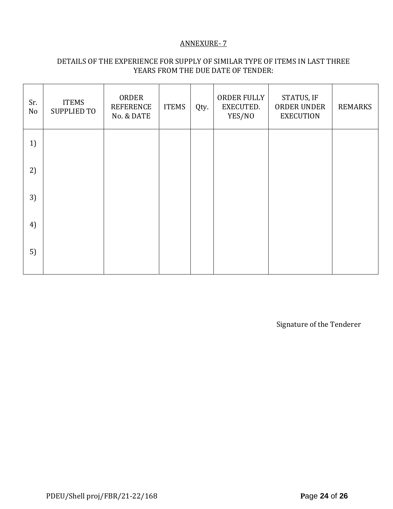### ANNEXURE- 7

# DETAILS OF THE EXPERIENCE FOR SUPPLY OF SIMILAR TYPE OF ITEMS IN LAST THREE YEARS FROM THE DUE DATE OF TENDER:

| Sr.<br>No | <b>ITEMS</b><br><b>SUPPLIED TO</b> | ORDER<br><b>REFERENCE</b><br>No. & DATE | <b>ITEMS</b> | Qty. | ORDER FULLY<br>EXECUTED.<br>YES/NO | STATUS, IF<br>ORDER UNDER<br><b>EXECUTION</b> | <b>REMARKS</b> |
|-----------|------------------------------------|-----------------------------------------|--------------|------|------------------------------------|-----------------------------------------------|----------------|
| 1)        |                                    |                                         |              |      |                                    |                                               |                |
| 2)        |                                    |                                         |              |      |                                    |                                               |                |
| 3)        |                                    |                                         |              |      |                                    |                                               |                |
| 4)        |                                    |                                         |              |      |                                    |                                               |                |
| 5)        |                                    |                                         |              |      |                                    |                                               |                |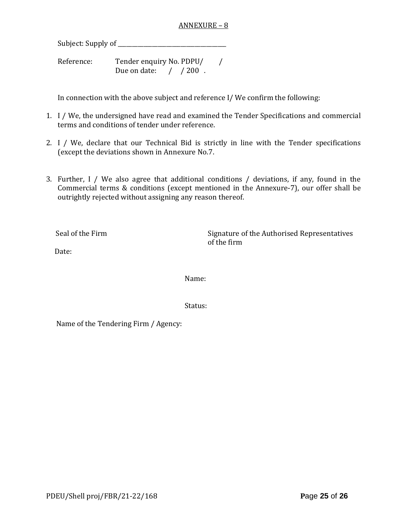### ANNEXURE – 8

Subject: Supply of \_\_\_\_\_\_\_\_\_\_\_\_\_\_\_\_\_\_\_\_\_\_\_\_\_\_\_\_\_\_\_\_\_\_\_\_\_\_

Reference: Tender enquiry No. PDPU/ / Due on date:  $\frac{1}{200}$ .

In connection with the above subject and reference I/ We confirm the following:

- 1. I / We, the undersigned have read and examined the Tender Specifications and commercial terms and conditions of tender under reference.
- 2. I / We, declare that our Technical Bid is strictly in line with the Tender specifications (except the deviations shown in Annexure No.7.
- 3. Further, I / We also agree that additional conditions / deviations, if any, found in the Commercial terms & conditions (except mentioned in the Annexure-7), our offer shall be outrightly rejected without assigning any reason thereof.

Seal of the Firm Signature of the Authorised Representatives of the firm

Date:

Name:

Status:

Name of the Tendering Firm / Agency: